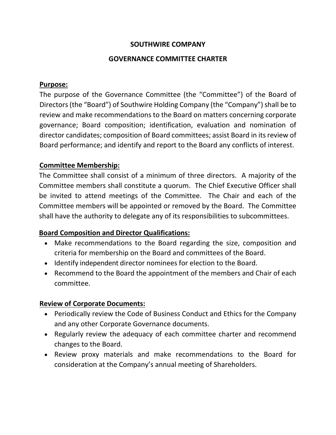#### **SOUTHWIRE COMPANY**

#### **GOVERNANCE COMMITTEE CHARTER**

#### **Purpose:**

The purpose of the Governance Committee (the "Committee") of the Board of Directors (the "Board") of Southwire Holding Company (the "Company") shall be to review and make recommendations to the Board on matters concerning corporate governance; Board composition; identification, evaluation and nomination of director candidates; composition of Board committees; assist Board in its review of Board performance; and identify and report to the Board any conflicts of interest.

#### **Committee Membership:**

The Committee shall consist of a minimum of three directors. A majority of the Committee members shall constitute a quorum. The Chief Executive Officer shall be invited to attend meetings of the Committee. The Chair and each of the Committee members will be appointed or removed by the Board. The Committee shall have the authority to delegate any of its responsibilities to subcommittees.

#### **Board Composition and Director Qualifications:**

- Make recommendations to the Board regarding the size, composition and criteria for membership on the Board and committees of the Board.
- Identify independent director nominees for election to the Board.
- Recommend to the Board the appointment of the members and Chair of each committee.

# **Review of Corporate Documents:**

- Periodically review the Code of Business Conduct and Ethics for the Company and any other Corporate Governance documents.
- Regularly review the adequacy of each committee charter and recommend changes to the Board.
- Review proxy materials and make recommendations to the Board for consideration at the Company's annual meeting of Shareholders.